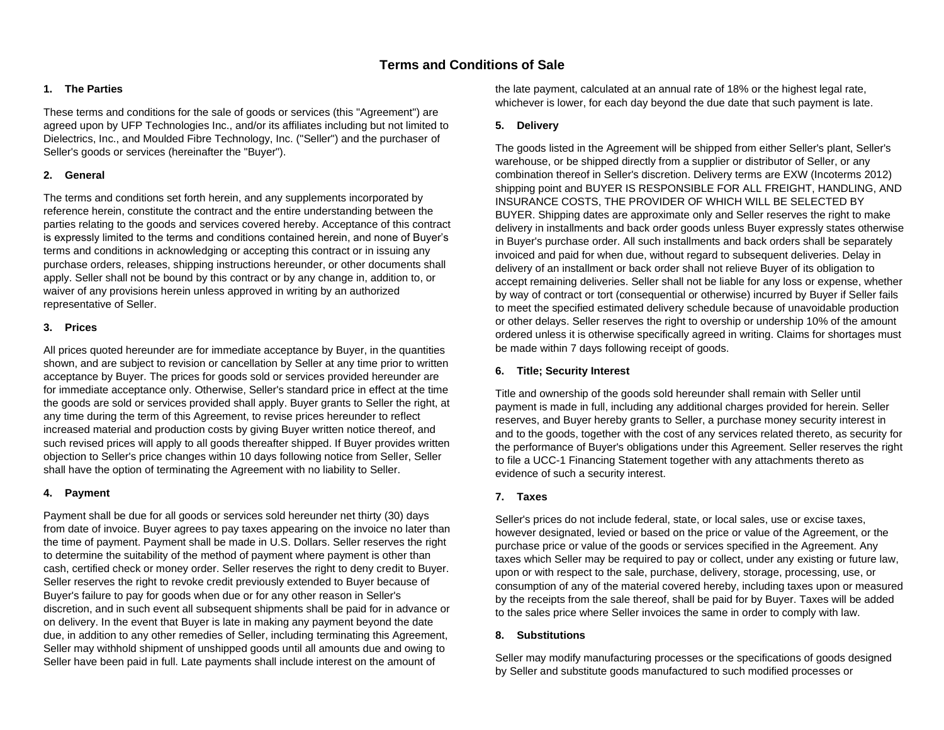# **Terms and Conditions of Sale**

### **1. The Parties**

These terms and conditions for the sale of goods or services (this "Agreement") are agreed upon by UFP Technologies Inc., and/or its affiliates including but not limited to Dielectrics, Inc., and Moulded Fibre Technology, Inc. ("Seller") and the purchaser of Seller's goods or services (hereinafter the "Buyer").

#### **2. General**

The terms and conditions set forth herein, and any supplements incorporated by reference herein, constitute the contract and the entire understanding between the parties relating to the goods and services covered hereby. Acceptance of this contract is expressly limited to the terms and conditions contained herein, and none of Buyer's terms and conditions in acknowledging or accepting this contract or in issuing any purchase orders, releases, shipping instructions hereunder, or other documents shall apply. Seller shall not be bound by this contract or by any change in, addition to, or waiver of any provisions herein unless approved in writing by an authorized representative of Seller.

#### **3. Prices**

All prices quoted hereunder are for immediate acceptance by Buyer, in the quantities shown, and are subject to revision or cancellation by Seller at any time prior to written acceptance by Buyer. The prices for goods sold or services provided hereunder are for immediate acceptance only. Otherwise, Seller's standard price in effect at the time the goods are sold or services provided shall apply. Buyer grants to Seller the right, at any time during the term of this Agreement, to revise prices hereunder to reflect increased material and production costs by giving Buyer written notice thereof, and such revised prices will apply to all goods thereafter shipped. If Buyer provides written objection to Seller's price changes within 10 days following notice from Seller, Seller shall have the option of terminating the Agreement with no liability to Seller.

#### **4. Payment**

Payment shall be due for all goods or services sold hereunder net thirty (30) days from date of invoice. Buyer agrees to pay taxes appearing on the invoice no later than the time of payment. Payment shall be made in U.S. Dollars. Seller reserves the right to determine the suitability of the method of payment where payment is other than cash, certified check or money order. Seller reserves the right to deny credit to Buyer. Seller reserves the right to revoke credit previously extended to Buyer because of Buyer's failure to pay for goods when due or for any other reason in Seller's discretion, and in such event all subsequent shipments shall be paid for in advance or on delivery. In the event that Buyer is late in making any payment beyond the date due, in addition to any other remedies of Seller, including terminating this Agreement, Seller may withhold shipment of unshipped goods until all amounts due and owing to Seller have been paid in full. Late payments shall include interest on the amount of

the late payment, calculated at an annual rate of 18% or the highest legal rate, whichever is lower, for each day beyond the due date that such payment is late.

### **5. Delivery**

The goods listed in the Agreement will be shipped from either Seller's plant, Seller's warehouse, or be shipped directly from a supplier or distributor of Seller, or any combination thereof in Seller's discretion. Delivery terms are EXW (Incoterms 2012) shipping point and BUYER IS RESPONSIBLE FOR ALL FREIGHT, HANDLING, AND INSURANCE COSTS, THE PROVIDER OF WHICH WILL BE SELECTED BY BUYER. Shipping dates are approximate only and Seller reserves the right to make delivery in installments and back order goods unless Buyer expressly states otherwise in Buyer's purchase order. All such installments and back orders shall be separately invoiced and paid for when due, without regard to subsequent deliveries. Delay in delivery of an installment or back order shall not relieve Buyer of its obligation to accept remaining deliveries. Seller shall not be liable for any loss or expense, whether by way of contract or tort (consequential or otherwise) incurred by Buyer if Seller fails to meet the specified estimated delivery schedule because of unavoidable production or other delays. Seller reserves the right to overship or undership 10% of the amount ordered unless it is otherwise specifically agreed in writing. Claims for shortages must be made within 7 days following receipt of goods.

#### **6. Title; Security Interest**

Title and ownership of the goods sold hereunder shall remain with Seller until payment is made in full, including any additional charges provided for herein. Seller reserves, and Buyer hereby grants to Seller, a purchase money security interest in and to the goods, together with the cost of any services related thereto, as security for the performance of Buyer's obligations under this Agreement. Seller reserves the right to file a UCC-1 Financing Statement together with any attachments thereto as evidence of such a security interest.

### **7. Taxes**

Seller's prices do not include federal, state, or local sales, use or excise taxes, however designated, levied or based on the price or value of the Agreement, or the purchase price or value of the goods or services specified in the Agreement. Any taxes which Seller may be required to pay or collect, under any existing or future law, upon or with respect to the sale, purchase, delivery, storage, processing, use, or consumption of any of the material covered hereby, including taxes upon or measured by the receipts from the sale thereof, shall be paid for by Buyer. Taxes will be added to the sales price where Seller invoices the same in order to comply with law.

### **8. Substitutions**

Seller may modify manufacturing processes or the specifications of goods designed by Seller and substitute goods manufactured to such modified processes or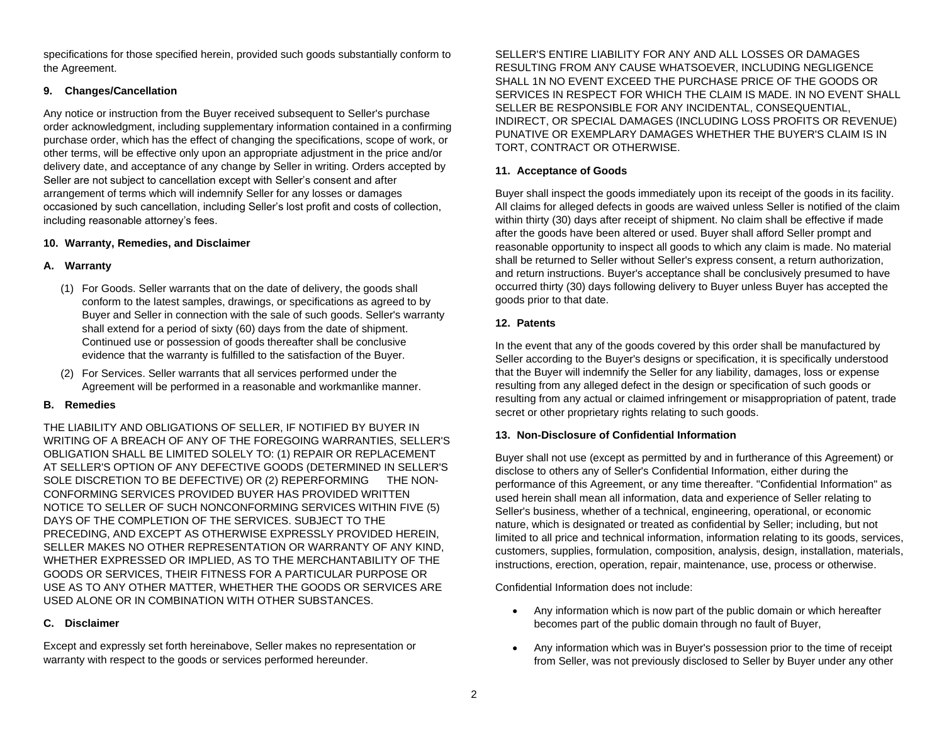specifications for those specified herein, provided such goods substantially conform to the Agreement.

# **9. Changes/Cancellation**

Any notice or instruction from the Buyer received subsequent to Seller's purchase order acknowledgment, including supplementary information contained in a confirming purchase order, which has the effect of changing the specifications, scope of work, or other terms, will be effective only upon an appropriate adjustment in the price and/or delivery date, and acceptance of any change by Seller in writing. Orders accepted by Seller are not subject to cancellation except with Seller's consent and after arrangement of terms which will indemnify Seller for any losses or damages occasioned by such cancellation, including Seller's lost profit and costs of collection, including reasonable attorney's fees.

### **10. Warranty, Remedies, and Disclaimer**

# **A. Warranty**

- (1) For Goods. Seller warrants that on the date of delivery, the goods shall conform to the latest samples, drawings, or specifications as agreed to by Buyer and Seller in connection with the sale of such goods. Seller's warranty shall extend for a period of sixty (60) days from the date of shipment. Continued use or possession of goods thereafter shall be conclusive evidence that the warranty is fulfilled to the satisfaction of the Buyer.
- (2) For Services. Seller warrants that all services performed under the Agreement will be performed in a reasonable and workmanlike manner.

### **B. Remedies**

THE LIABILITY AND OBLIGATIONS OF SELLER, IF NOTIFIED BY BUYER IN WRITING OF A BREACH OF ANY OF THE FOREGOING WARRANTIES, SELLER'S OBLIGATION SHALL BE LIMITED SOLELY TO: (1) REPAIR OR REPLACEMENT AT SELLER'S OPTION OF ANY DEFECTIVE GOODS (DETERMINED IN SELLER'S SOLE DISCRETION TO BE DEFECTIVE) OR (2) REPERFORMING THE NON-CONFORMING SERVICES PROVIDED BUYER HAS PROVIDED WRITTEN NOTICE TO SELLER OF SUCH NONCONFORMING SERVICES WITHIN FIVE (5) DAYS OF THE COMPLETION OF THE SERVICES. SUBJECT TO THE PRECEDING, AND EXCEPT AS OTHERWISE EXPRESSLY PROVIDED HEREIN, SELLER MAKES NO OTHER REPRESENTATION OR WARRANTY OF ANY KIND, WHETHER EXPRESSED OR IMPLIED, AS TO THE MERCHANTABILITY OF THE GOODS OR SERVICES, THEIR FITNESS FOR A PARTICULAR PURPOSE OR USE AS TO ANY OTHER MATTER, WHETHER THE GOODS OR SERVICES ARE USED ALONE OR IN COMBINATION WITH OTHER SUBSTANCES.

# **C. Disclaimer**

Except and expressly set forth hereinabove, Seller makes no representation or warranty with respect to the goods or services performed hereunder.

SELLER'S ENTIRE LIABILITY FOR ANY AND ALL LOSSES OR DAMAGES RESULTING FROM ANY CAUSE WHATSOEVER, INCLUDING NEGLIGENCE SHALL 1N NO EVENT EXCEED THE PURCHASE PRICE OF THE GOODS OR SERVICES IN RESPECT FOR WHICH THE CLAIM IS MADE. IN NO EVENT SHALL SELLER BE RESPONSIBLE FOR ANY INCIDENTAL, CONSEQUENTIAL, INDIRECT, OR SPECIAL DAMAGES (INCLUDING LOSS PROFITS OR REVENUE) PUNATIVE OR EXEMPLARY DAMAGES WHETHER THE BUYER'S CLAIM IS IN TORT, CONTRACT OR OTHERWISE.

### **11. Acceptance of Goods**

Buyer shall inspect the goods immediately upon its receipt of the goods in its facility. All claims for alleged defects in goods are waived unless Seller is notified of the claim within thirty (30) days after receipt of shipment. No claim shall be effective if made after the goods have been altered or used. Buyer shall afford Seller prompt and reasonable opportunity to inspect all goods to which any claim is made. No material shall be returned to Seller without Seller's express consent, a return authorization, and return instructions. Buyer's acceptance shall be conclusively presumed to have occurred thirty (30) days following delivery to Buyer unless Buyer has accepted the goods prior to that date.

# **12. Patents**

In the event that any of the goods covered by this order shall be manufactured by Seller according to the Buyer's designs or specification, it is specifically understood that the Buyer will indemnify the Seller for any liability, damages, loss or expense resulting from any alleged defect in the design or specification of such goods or resulting from any actual or claimed infringement or misappropriation of patent, trade secret or other proprietary rights relating to such goods.

### **13. Non-Disclosure of Confidential Information**

Buyer shall not use (except as permitted by and in furtherance of this Agreement) or disclose to others any of Seller's Confidential Information, either during the performance of this Agreement, or any time thereafter. "Confidential Information" as used herein shall mean all information, data and experience of Seller relating to Seller's business, whether of a technical, engineering, operational, or economic nature, which is designated or treated as confidential by Seller; including, but not limited to all price and technical information, information relating to its goods, services, customers, supplies, formulation, composition, analysis, design, installation, materials, instructions, erection, operation, repair, maintenance, use, process or otherwise.

Confidential Information does not include:

- Any information which is now part of the public domain or which hereafter becomes part of the public domain through no fault of Buyer,
- Any information which was in Buyer's possession prior to the time of receipt from Seller, was not previously disclosed to Seller by Buyer under any other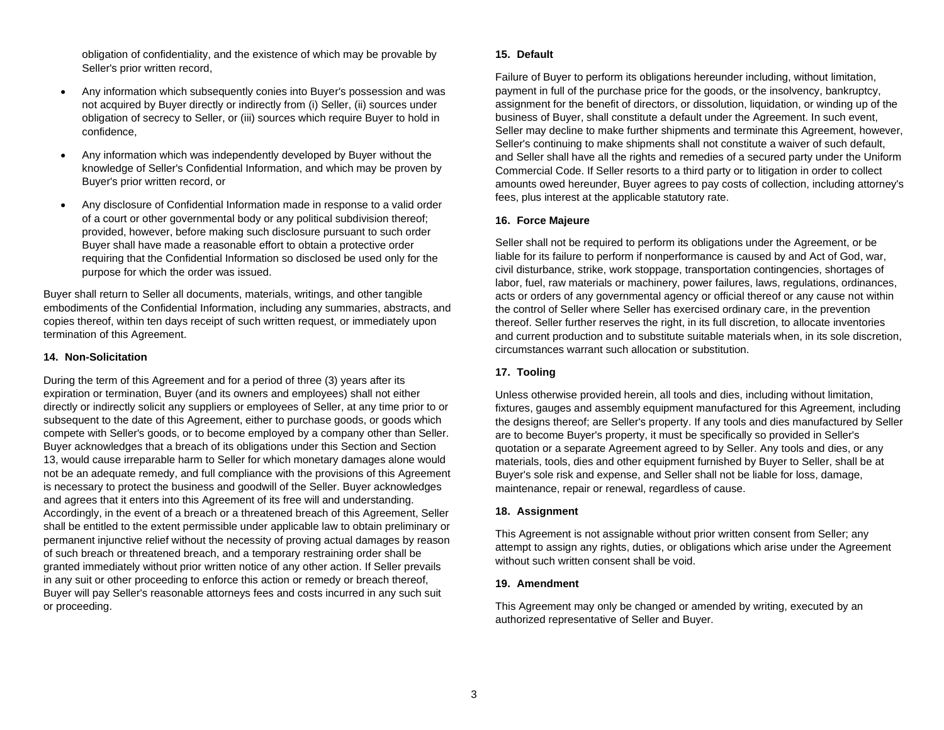obligation of confidentiality, and the existence of which may be provable by Seller's prior written record,

- Any information which subsequently conies into Buyer's possession and was not acquired by Buyer directly or indirectly from (i) Seller, (ii) sources under obligation of secrecy to Seller, or (iii) sources which require Buyer to hold in confidence,
- Any information which was independently developed by Buyer without the knowledge of Seller's Confidential Information, and which may be proven by Buyer's prior written record, or
- Any disclosure of Confidential Information made in response to a valid order of a court or other governmental body or any political subdivision thereof; provided, however, before making such disclosure pursuant to such order Buyer shall have made a reasonable effort to obtain a protective order requiring that the Confidential Information so disclosed be used only for the purpose for which the order was issued.

Buyer shall return to Seller all documents, materials, writings, and other tangible embodiments of the Confidential Information, including any summaries, abstracts, and copies thereof, within ten days receipt of such written request, or immediately upon termination of this Agreement.

#### **14. Non-Solicitation**

During the term of this Agreement and for a period of three (3) years after its expiration or termination, Buyer (and its owners and employees) shall not either directly or indirectly solicit any suppliers or employees of Seller, at any time prior to or subsequent to the date of this Agreement, either to purchase goods, or goods which compete with Seller's goods, or to become employed by a company other than Seller. Buyer acknowledges that a breach of its obligations under this Section and Section 13, would cause irreparable harm to Seller for which monetary damages alone would not be an adequate remedy, and full compliance with the provisions of this Agreement is necessary to protect the business and goodwill of the Seller. Buyer acknowledges and agrees that it enters into this Agreement of its free will and understanding. Accordingly, in the event of a breach or a threatened breach of this Agreement, Seller shall be entitled to the extent permissible under applicable law to obtain preliminary or permanent injunctive relief without the necessity of proving actual damages by reason of such breach or threatened breach, and a temporary restraining order shall be granted immediately without prior written notice of any other action. If Seller prevails in any suit or other proceeding to enforce this action or remedy or breach thereof, Buyer will pay Seller's reasonable attorneys fees and costs incurred in any such suit or proceeding.

#### **15. Default**

Failure of Buyer to perform its obligations hereunder including, without limitation, payment in full of the purchase price for the goods, or the insolvency, bankruptcy, assignment for the benefit of directors, or dissolution, liquidation, or winding up of the business of Buyer, shall constitute a default under the Agreement. In such event, Seller may decline to make further shipments and terminate this Agreement, however, Seller's continuing to make shipments shall not constitute a waiver of such default, and Seller shall have all the rights and remedies of a secured party under the Uniform Commercial Code. If Seller resorts to a third party or to litigation in order to collect amounts owed hereunder, Buyer agrees to pay costs of collection, including attorney's fees, plus interest at the applicable statutory rate.

#### **16. Force Majeure**

Seller shall not be required to perform its obligations under the Agreement, or be liable for its failure to perform if nonperformance is caused by and Act of God, war, civil disturbance, strike, work stoppage, transportation contingencies, shortages of labor, fuel, raw materials or machinery, power failures, laws, regulations, ordinances, acts or orders of any governmental agency or official thereof or any cause not within the control of Seller where Seller has exercised ordinary care, in the prevention thereof. Seller further reserves the right, in its full discretion, to allocate inventories and current production and to substitute suitable materials when, in its sole discretion, circumstances warrant such allocation or substitution.

#### **17. Tooling**

Unless otherwise provided herein, all tools and dies, including without limitation, fixtures, gauges and assembly equipment manufactured for this Agreement, including the designs thereof; are Seller's property. If any tools and dies manufactured by Seller are to become Buyer's property, it must be specifically so provided in Seller's quotation or a separate Agreement agreed to by Seller. Any tools and dies, or any materials, tools, dies and other equipment furnished by Buyer to Seller, shall be at Buyer's sole risk and expense, and Seller shall not be liable for loss, damage, maintenance, repair or renewal, regardless of cause.

#### **18. Assignment**

This Agreement is not assignable without prior written consent from Seller; any attempt to assign any rights, duties, or obligations which arise under the Agreement without such written consent shall be void.

#### **19. Amendment**

This Agreement may only be changed or amended by writing, executed by an authorized representative of Seller and Buyer.